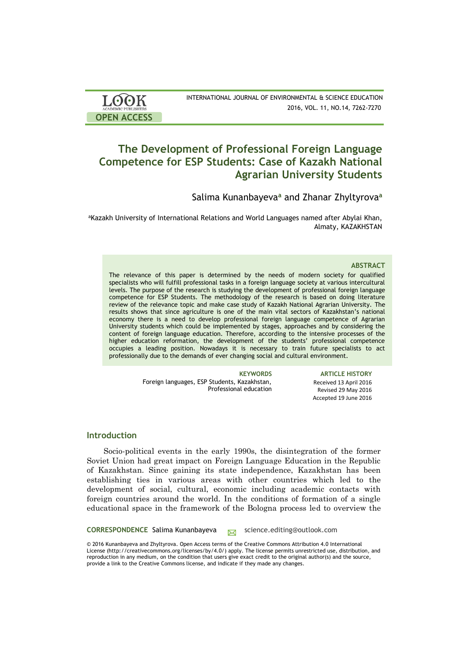| <b>LOOK</b>                | INTERNATIONAL JOURNAL OF ENVIRONMENTAL & SCIENCE EDUCATION |
|----------------------------|------------------------------------------------------------|
| <b>ACADEMIC PUBLISHERS</b> | 2016, VOL. 11, NO.14, 7262-7270                            |
| <b>OPEN ACCESS</b>         |                                                            |

# **The Development of Professional Foreign Language Competence for ESP Students: Case of Kazakh National Agrarian University Students**

Salima Kunanbayeva**<sup>a</sup>** and Zhanar Zhyltyrova**<sup>a</sup>**

aKazakh University of International Relations and World Languages named after Abylai Khan, Almaty, KAZAKHSTAN

# **ABSTRACT**

The relevance of this paper is determined by the needs of modern society for qualified specialists who will fulfill professional tasks in a foreign language society at various intercultural levels. The purpose of the research is studying the development of professional foreign language competence for ESP Students. The methodology of the research is based on doing literature review of the relevance topic and make case study of Kazakh National Agrarian University. The results shows that since agriculture is one of the main vital sectors of Kazakhstan's national economy there is a need to develop professional foreign language competence of Agrarian University students which could be implemented by stages, approaches and by considering the content of foreign language education. Therefore, according to the intensive processes of the higher education reformation, the development of the students' professional competence occupies a leading position. Nowadays it is necessary to train future specialists to act professionally due to the demands of ever changing social and cultural environment.

> Foreign languages, ESP Students, Kazakhstan, Professional education

**KEYWORDS ARTICLE HISTORY** Received 13 April 2016 Revised 29 May 2016 Accepted 19 June 2016

# **Introduction**

Socio-political events in the early 1990s, the disintegration of the former Soviet Union had great impact on Foreign Language Education in the Republic of Kazakhstan. Since gaining its state independence, Kazakhstan has been establishing ties in various areas with other countries which led to the development of social, cultural, economic including academic contacts with foreign countries around the world. In the conditions of formation of a single educational space in the framework of the Bologna process led to overview the

**CORRESPONDENCE** Salima Kunanbayeva science.editing@outlook.com

© 2016 Kunanbayeva and Zhyltyrova. Open Access terms of the Creative Commons Attribution 4.0 International License (http://creativecommons.org/licenses/by/4.0/) apply. The license permits unrestricted use, distribution, and reproduction in any medium, on the condition that users give exact credit to the original author(s) and the source, provide a link to the Creative Commons license, and indicate if they made any changes.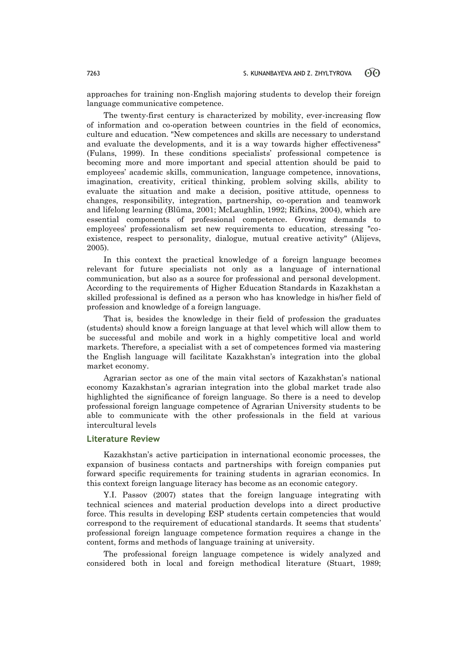approaches for training non-English majoring students to develop their foreign language communicative competence.

The twenty-first century is characterized by mobility, ever-increasing flow of information and co-operation between countries in the field of economics, culture and education. "New competences and skills are necessary to understand and evaluate the developments, and it is a way towards higher effectiveness" (Fulans, 1999). In these conditions specialists' professional competence is becoming more and more important and special attention should be paid to employees' academic skills, communication, language competence, innovations, imagination, creativity, critical thinking, problem solving skills, ability to evaluate the situation and make a decision, positive attitude, openness to changes, responsibility, integration, partnership, co-operation and teamwork and lifelong learning (Blūma, 2001; McLaughlin, 1992; Rifkins, 2004), which are essential components of professional competence. Growing demands to employees' professionalism set new requirements to education, stressing "coexistence, respect to personality, dialogue, mutual creative activity" (Alijevs, 2005).

In this context the practical knowledge of a foreign language becomes relevant for future specialists not only as a language of international communication, but also as a source for professional and personal development. According to the requirements of Higher Education Standards in Kazakhstan a skilled professional is defined as a person who has knowledge in his/her field of profession and knowledge of a foreign language.

That is, besides the knowledge in their field of profession the graduates (students) should know a foreign language at that level which will allow them to be successful and mobile and work in a highly competitive local and world markets. Therefore, a specialist with a set of competences formed via mastering the English language will facilitate Kazakhstan's integration into the global market economy.

Agrarian sector as one of the main vital sectors of Kazakhstan's national economy Kazakhstan's agrarian integration into the global market trade also highlighted the significance of foreign language. So there is a need to develop professional foreign language competence of Agrarian University students to be able to communicate with the other professionals in the field at various intercultural levels

# **Literature Review**

Kazakhstan's active participation in international economic processes, the expansion of business contacts and partnerships with foreign companies put forward specific requirements for training students in agrarian economics. In this context foreign language literacy has become as an economic category.

Y.I. Passov (2007) states that the foreign language integrating with technical sciences and material production develops into a direct productive force. This results in developing ESP students certain competencies that would correspond to the requirement of educational standards. It seems that students' professional foreign language competence formation requires a change in the content, forms and methods of language training at university.

The professional foreign language competence is widely analyzed and considered both in local and foreign methodical literature (Stuart, 1989;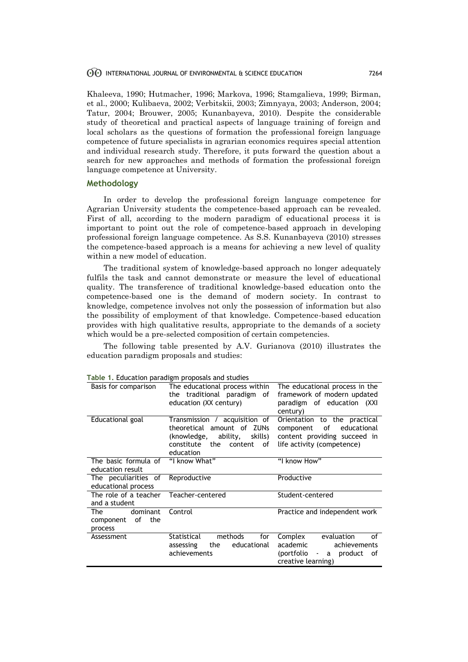### INTERNATIONAL JOURNAL OF ENVIRONMENTAL & SCIENCE EDUCATION 7264

Khaleeva, 1990; Hutmacher, 1996; Markova, 1996; Stamgalieva, 1999; Birman, et al., 2000; Kulibaeva, 2002; Verbitskii, 2003; Zimnyaya, 2003; Anderson, 2004; Tatur, 2004; Brouwer, 2005; Kunanbayeva, 2010). Despite the considerable study of theoretical and practical aspects of language training of foreign and local scholars as the questions of formation the professional foreign language competence of future specialists in agrarian economics requires special attention and individual research study. Therefore, it puts forward the question about a search for new approaches and methods of formation the professional foreign language competence at University.

# **Methodology**

In order to develop the professional foreign language competence for Agrarian University students the competence-based approach can be revealed. First of all, according to the modern paradigm of educational process it is important to point out the role of competence-based approach in developing professional foreign language competence. As S.S. Kunanbayeva (2010) stresses the competence-based approach is a means for achieving a new level of quality within a new model of education.

The traditional system of knowledge-based approach no longer adequately fulfils the task and cannot demonstrate or measure the level of educational quality. The transference of traditional knowledge-based education onto the competence-based one is the demand of modern society. In contrast to knowledge, competence involves not only the possession of information but also the possibility of employment of that knowledge. Competence-based education provides with high qualitative results, appropriate to the demands of a society which would be a pre-selected composition of certain competencies.

The following table presented by A.V. Gurianova (2010) illustrates the education paradigm proposals and studies:

| Table 1. Equedlion paradigm proposals and studies |                                    |                                                    |  |
|---------------------------------------------------|------------------------------------|----------------------------------------------------|--|
| Basis for comparison                              | The educational process within     | The educational process in the                     |  |
|                                                   | the traditional paradigm of        | framework of modern updated                        |  |
|                                                   | education (XX century)             | paradigm of education (XXI                         |  |
|                                                   |                                    | century)                                           |  |
| Educational goal                                  | Transmission / acquisition of      | Orientation<br>to the practical                    |  |
|                                                   | theoretical amount of ZUNs         | educational<br>component<br>of                     |  |
|                                                   | ability,<br>(knowledge,<br>skills) | content providing succeed in                       |  |
|                                                   | constitute<br>the<br>content<br>of | life activity (competence)                         |  |
|                                                   | education                          |                                                    |  |
| The basic formula of                              | "I know What"                      | "I know How"                                       |  |
| education result                                  |                                    |                                                    |  |
| The peculiarities of                              | Reproductive                       | Productive                                         |  |
| educational process                               |                                    |                                                    |  |
| The role of a teacher                             | Teacher-centered                   | Student-centered                                   |  |
| and a student                                     |                                    |                                                    |  |
| dominant<br>The                                   | Control                            | Practice and independent work                      |  |
| of<br>the<br>component                            |                                    |                                                    |  |
| process                                           |                                    |                                                    |  |
| Assessment                                        | Statistical<br>methods<br>for      | evaluation<br>Complex<br>of                        |  |
|                                                   | educational<br>the<br>assessing    | academic<br>achievements                           |  |
|                                                   | achievements                       | (portfolio<br>product<br>of<br>a<br>$\blacksquare$ |  |
|                                                   |                                    | creative learning)                                 |  |
|                                                   |                                    |                                                    |  |

**Table 1.** Education paradigm proposals and studies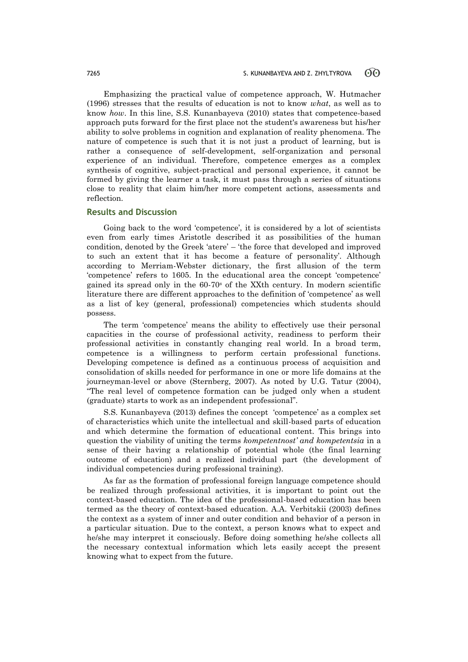Emphasizing the practical value of competence approach, W. Hutmacher (1996) stresses that the results of education is not to know *what*, as well as to know *how*. In this line, S.S. Kunanbayeva (2010) states that competence-based approach puts forward for the first place not the student's awareness but his/her ability to solve problems in cognition and explanation of reality phenomena. The nature of competence is such that it is not just a product of learning, but is rather a consequence of self-development, self-organization and personal experience of an individual. Therefore, competence emerges as a complex synthesis of cognitive, subject-practical and personal experience, it cannot be formed by giving the learner a task, it must pass through a series of situations close to reality that claim him/her more competent actions, assessments and reflection.

# **Results and Discussion**

Going back to the word 'competence', it is considered by a lot of scientists even from early times Aristotle described it as possibilities of the human condition, denoted by the Greek 'atere' – 'the force that developed and improved to such an extent that it has become a feature of personality'. Although according to Merriam-Webster dictionary, the first allusion of the term 'competence' refers to 1605. In the educational area the concept 'competence' gained its spread only in the  $60-70$ <sup>s</sup> of the XXth century. In modern scientific literature there are different approaches to the definition of 'competence' as well as a list of key (general, professional) competencies which students should possess.

The term 'competence' means the ability to effectively use their personal capacities in the course of professional activity, readiness to perform their professional activities in constantly changing real world. In a broad term, competence is a willingness to perform certain professional functions. Developing competence is defined as a continuous process of acquisition and consolidation of skills needed for performance in one or more life domains at the journeyman-level or above (Sternberg, 2007). As noted by U.G. Tatur (2004), "The real level of competence formation can be judged only when a student (graduate) starts to work as an independent professional".

S.S. Kunanbayeva (2013) defines the concept 'competence' as a complex set of characteristics which unite the intellectual and skill-based parts of education and which determine the formation of educational content. This brings into question the viability of uniting the terms *kompetentnost' and kompetentsia* in a sense of their having a relationship of potential whole (the final learning outcome of education) and a realized individual part (the development of individual competencies during professional training).

As far as the formation of professional foreign language competence should be realized through professional activities, it is important to point out the context-based education. The idea of the professional-based education has been termed as the theory of context-based education. A.A. Verbitskii (2003) defines the context as a system of inner and outer condition and behavior of a person in a particular situation. Due to the context, a person knows what to expect and he/she may interpret it consciously. Before doing something he/she collects all the necessary contextual information which lets easily accept the present knowing what to expect from the future.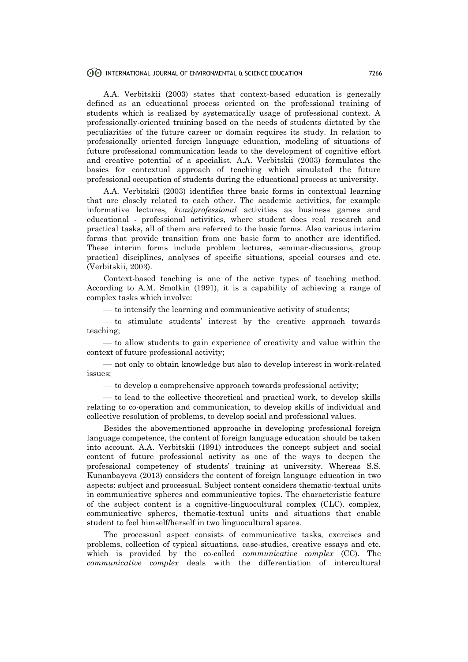## INTERNATIONAL JOURNAL OF ENVIRONMENTAL & SCIENCE EDUCATION 7266

A.A. Verbitskii (2003) states that context-based education is generally defined as an educational process oriented on the professional training of students which is realized by systematically usage of professional context. A professionally-oriented training based on the needs of students dictated by the peculiarities of the future career or domain requires its study. In relation to professionally oriented foreign language education, modeling of situations of future professional communication leads to the development of cognitive effort and creative potential of a specialist. A.A. Verbitskii (2003) formulates the basics for contextual approach of teaching which simulated the future professional occupation of students during the educational process at university.

A.A. Verbitskii (2003) identifies three basic forms in contextual learning that are closely related to each other. The academic activities, for example informative lectures, *kvaziprofessional* activities as business games and educational - professional activities, where student does real research and practical tasks, all of them are referred to the basic forms. Also various interim forms that provide transition from one basic form to another are identified. These interim forms include problem lectures, seminar-discussions, group practical disciplines, analyses of specific situations, special courses and etc. (Verbitskii, 2003).

Context-based teaching is one of the active types of teaching method. According to A.M. Smolkin (1991), it is a capability of achieving a range of complex tasks which involve:

 $\frac{1}{10}$  to intensify the learning and communicative activity of students;

 to stimulate students' interest by the creative approach towards teaching;

 $-$  to allow students to gain experience of creativity and value within the context of future professional activity;

 not only to obtain knowledge but also to develop interest in work-related issues;

 $\sim$  to develop a comprehensive approach towards professional activity;

— to lead to the collective theoretical and practical work, to develop skills relating to co-operation and communication, to develop skills of individual and collective resolution of problems, to develop social and professional values.

Besides the abovementioned approache in developing professional foreign language competence, the content of foreign language education should be taken into account. A.A. Verbitskii (1991) introduces the concept subject and social content of future professional activity as one of the ways to deepen the professional competency of students' training at university. Whereas S.S. Kunanbayeva (2013) considers the content of foreign language education in two aspects: subject and processual. Subject content considers thematic-textual units in communicative spheres and communicative topics. The characteristic feature of the subject content is a cognitive-linguocultural complex (CLC). complex, communicative spheres, thematic-textual units and situations that enable student to feel himself/herself in two linguocultural spaces.

The processual aspect consists of communicative tasks, exercises and problems, collection of typical situations, case-studies, creative essays and etc. which is provided by the co-called *communicative complex* (CC). The *communicative complex* deals with the differentiation of intercultural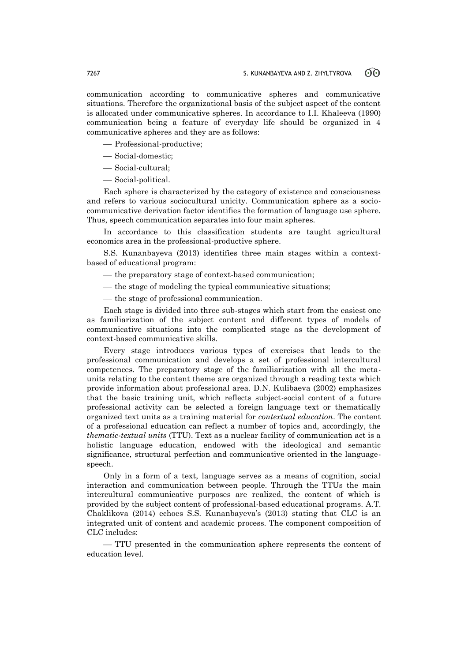communication according to communicative spheres and communicative situations. Therefore the organizational basis of the subject aspect of the content is allocated under communicative spheres. In accordance to I.I. Khaleeva (1990) communication being a feature of everyday life should be organized in 4 communicative spheres and they are as follows:

- Professional-productive;
- Social-domestic;
- Social-cultural;
- Social-political.

Each sphere is characterized by the category of existence and consciousness and refers to various sociocultural unicity. Communication sphere as a sociocommunicative derivation factor identifies the formation of language use sphere. Thus, speech communication separates into four main spheres.

In accordance to this classification students are taught agricultural economics area in the professional-productive sphere.

S.S. Kunanbayeva (2013) identifies three main stages within a contextbased of educational program:

- the preparatory stage of context-based communication;
- the stage of modeling the typical communicative situations;
- the stage of professional communication.

Each stage is divided into three sub-stages which start from the easiest one as familiarization of the subject content and different types of models of communicative situations into the complicated stage as the development of context-based communicative skills.

Every stage introduces various types of exercises that leads to the professional communication and develops a set of professional intercultural competences. The preparatory stage of the familiarization with all the metaunits relating to the content theme are organized through a reading texts which provide information about professional area. D.N. Kulibaeva (2002) emphasizes that the basic training unit, which reflects subject-social content of a future professional activity can be selected a foreign language text or thematically organized text units as a training material for *contextual education*. The content of a professional education can reflect a number of topics and, accordingly, the *thematic-textual units* (TTU). Text as a nuclear facility of communication act is a holistic language education, endowed with the ideological and semantic significance, structural perfection and communicative oriented in the languagespeech.

Only in a form of a text, language serves as a means of cognition, social interaction and communication between people. Through the TTUs the main intercultural communicative purposes are realized, the content of which is provided by the subject content of professional-based educational programs. A.T. Chaklikova (2014) echoes S.S. Kunanbayeva's (2013) stating that CLC is an integrated unit of content and academic process. The component composition of CLC includes:

 TTU presented in the communication sphere represents the content of education level.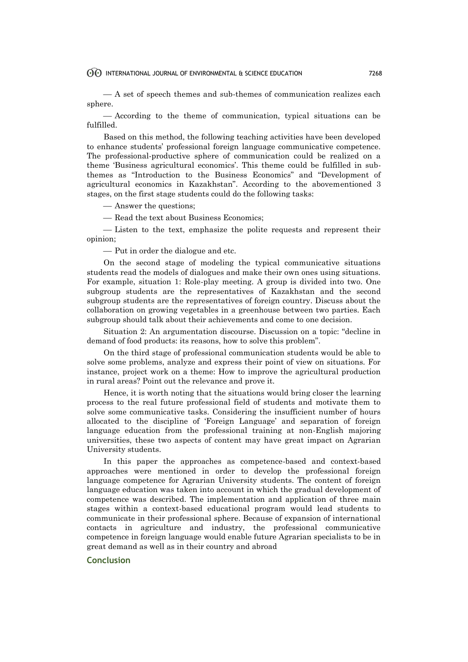A set of speech themes and sub-themes of communication realizes each sphere.

 According to the theme of communication, typical situations can be fulfilled.

Based on this method, the following teaching activities have been developed to enhance students' professional foreign language communicative competence. The professional-productive sphere of communication could be realized on a theme 'Business agricultural economics'. This theme could be fulfilled in subthemes as "Introduction to the Business Economics" and "Development of agricultural economics in Kazakhstan". According to the abovementioned 3 stages, on the first stage students could do the following tasks:

Answer the questions;

— Read the text about Business Economics;

 Listen to the text, emphasize the polite requests and represent their opinion;

Put in order the dialogue and etc.

On the second stage of modeling the typical communicative situations students read the models of dialogues and make their own ones using situations. For example, situation 1: Role-play meeting. A group is divided into two. One subgroup students are the representatives of Kazakhstan and the second subgroup students are the representatives of foreign country. Discuss about the collaboration on growing vegetables in a greenhouse between two parties. Each subgroup should talk about their achievements and come to one decision.

Situation 2: An argumentation discourse. Discussion on a topic: "decline in demand of food products: its reasons, how to solve this problem".

On the third stage of professional communication students would be able to solve some problems, analyze and express their point of view on situations. For instance, project work on a theme: How to improve the agricultural production in rural areas? Point out the relevance and prove it.

Hence, it is worth noting that the situations would bring closer the learning process to the real future professional field of students and motivate them to solve some communicative tasks. Considering the insufficient number of hours allocated to the discipline of 'Foreign Language' and separation of foreign language education from the professional training at non-English majoring universities, these two aspects of content may have great impact on Agrarian University students.

In this paper the approaches as competence-based and context-based approaches were mentioned in order to develop the professional foreign language competence for Agrarian University students. The content of foreign language education was taken into account in which the gradual development of competence was described. The implementation and application of three main stages within a context-based educational program would lead students to communicate in their professional sphere. Because of expansion of international contacts in agriculture and industry, the professional communicative competence in foreign language would enable future Agrarian specialists to be in great demand as well as in their country and abroad

# **Conclusion**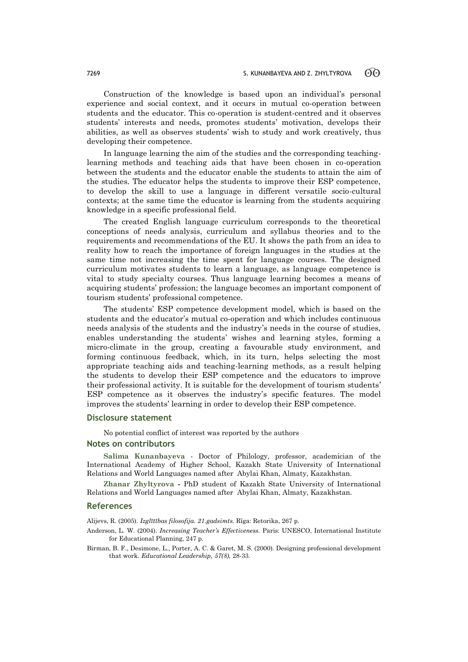Construction of the knowledge is based upon an individual's personal experience and social context, and it occurs in mutual co-operation between students and the educator. This co-operation is student-centred and it observes students' interests and needs, promotes students' motivation, develops their abilities, as well as observes students' wish to study and work creatively, thus developing their competence.

In language learning the aim of the studies and the corresponding teachinglearning methods and teaching aids that have been chosen in co-operation between the students and the educator enable the students to attain the aim of the studies. The educator helps the students to improve their ESP competence, to develop the skill to use a language in different versatile socio-cultural contexts; at the same time the educator is learning from the students acquiring knowledge in a specific professional field.

The created English language curriculum corresponds to the theoretical conceptions of needs analysis, curriculum and syllabus theories and to the requirements and recommendations of the EU. It shows the path from an idea to reality how to reach the importance of foreign languages in the studies at the same time not increasing the time spent for language courses. The designed curriculum motivates students to learn a language, as language competence is vital to study specialty courses. Thus language learning becomes a means of acquiring students' profession; the language becomes an important component of tourism students' professional competence.

The students' ESP competence development model, which is based on the students and the educator's mutual co-operation and which includes continuous needs analysis of the students and the industry's needs in the course of studies, enables understanding the students' wishes and learning styles, forming a micro-climate in the group, creating a favourable study environment, and forming continuous feedback, which, in its turn, helps selecting the most appropriate teaching aids and teaching-learning methods, as a result helping the students to develop their ESP competence and the educators to improve their professional activity. It is suitable for the development of tourism students' ESP competence as it observes the industry's specific features. The model improves the students' learning in order to develop their ESP competence.

# **Disclosure statement**

No potential conflict of interest was reported by the authors

#### **Notes on contributors**

**Salima Kunanbayeva** - Doctor of Philology, professor, academician of the International Academy of Higher School, Kazakh State University of International Relations and World Languages named after Abylai Khan, Almaty, Kazakhstan.

**Zhanar Zhyltyrova -** PhD student of Kazakh State University of International Relations and World Languages named after Abylai Khan, Almaty, Kazakhstan.

#### **References**

Alijevs, R. (2005). *Izglītības filosofija. 21.gadsimts.* Rīga: Retorika, 267 p.

- Anderson, L. W. (2004). *Increasing Teacher's Effectiveness.* Paris: UNESCO, International Institute for Educational Planning, 247 p.
- Birman, B. F., Desimone, L., Porter, A. C. & Garet, M. S. (2000). Designing professional development that work. *Educational Leadership, 57(8),* 28-33.